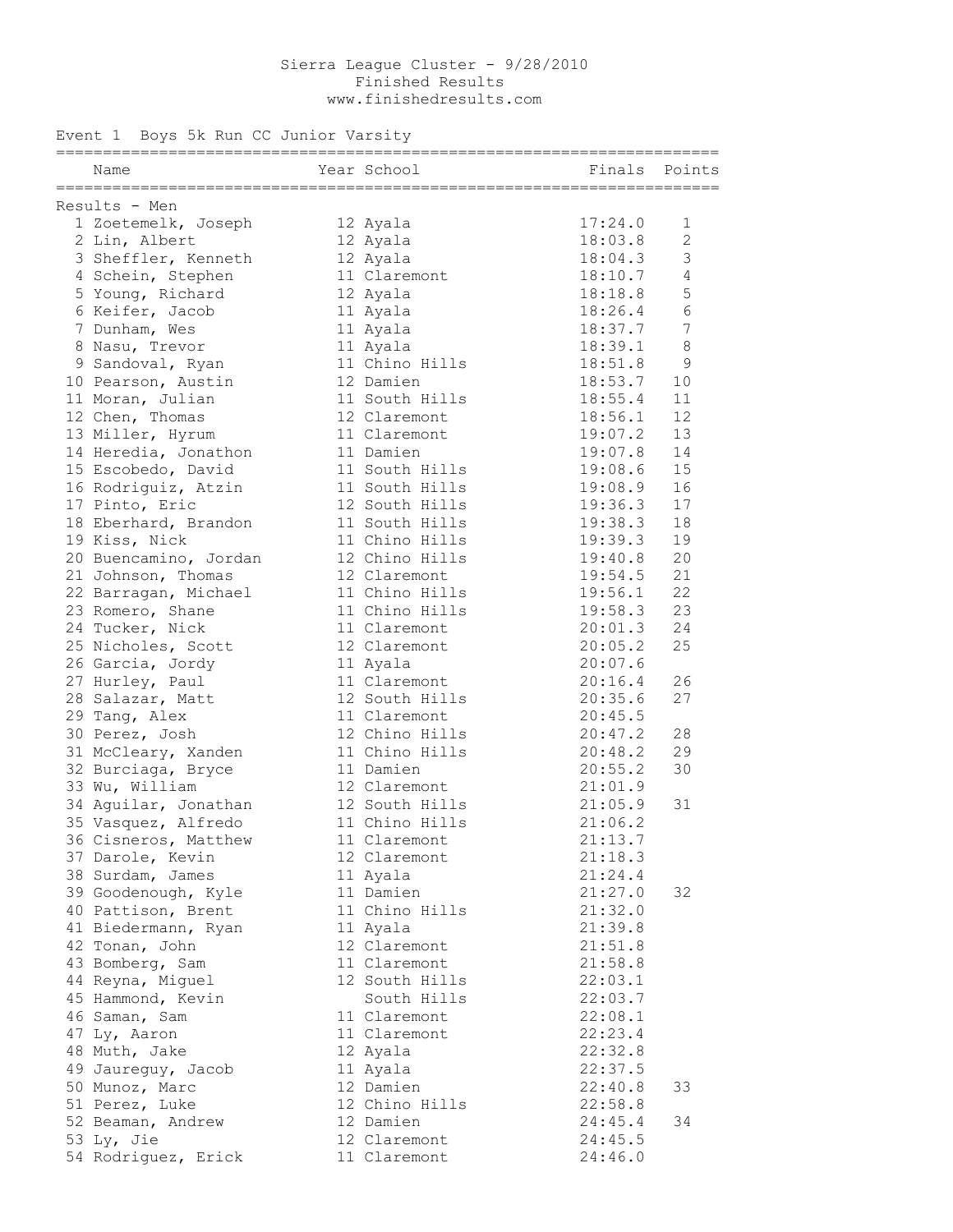#### Sierra League Cluster 9/28/2010 Finished Results **Finished** Results **Finished** Results www.finishedresults.com

### Event 1 Boys 5k Run CC Junior Varsity

| Results - Men                                                                                                                                                                                                                  |                |                                        |                 |
|--------------------------------------------------------------------------------------------------------------------------------------------------------------------------------------------------------------------------------|----------------|----------------------------------------|-----------------|
| 1 Zoetemelk, Joseph 12 Ayala (17:24.0)<br>2 Lin, Albert 12 Ayala (18:03.8) 2<br>3 Sheffler, Kenneth 12 Ayala (18:04.3) 3                                                                                                       |                |                                        |                 |
|                                                                                                                                                                                                                                |                |                                        |                 |
|                                                                                                                                                                                                                                |                |                                        |                 |
| 4 Schein, Stephen                                                                                                                                                                                                              |                | 11 Claremont 18:10.7                   | 4               |
| 5 Young, Richard 12 Ayala 18:18.8                                                                                                                                                                                              |                |                                        | 5               |
| 6 Keifer, Jacob 11 Ayala 18:26.4                                                                                                                                                                                               |                |                                        | $6\phantom{.}6$ |
| 7 Dunham, Wes 11 Ayala                                                                                                                                                                                                         |                | 18:37.7                                | $7\phantom{.0}$ |
| 8 Nasu, Trevor 11 Ayala<br>9 Sandoval, Ryan 11 Chino Hills<br>10 Pearson, Austin 12 Damien 18:53.7 10<br>11 Moran, Julian 11 South Hills<br>12 Chen, Thomas 12 Claremont 18:55.4 11<br>12 Chen, Thomas 12 Claremont 18:56.1 12 |                |                                        |                 |
|                                                                                                                                                                                                                                |                |                                        |                 |
|                                                                                                                                                                                                                                |                |                                        |                 |
|                                                                                                                                                                                                                                |                |                                        |                 |
|                                                                                                                                                                                                                                |                |                                        |                 |
| 13 Miller, Hyrum 11 Claremont 19:07.2                                                                                                                                                                                          |                |                                        | 13              |
| 14 Heredia, Jonathon 11 Damien                                                                                                                                                                                                 |                | 19:07.8                                | 14              |
| 15 Escobedo, David 11 South Hills 19:08.6 15                                                                                                                                                                                   |                |                                        |                 |
| 16 Rodriguiz, Atzin 11 South Hills 19:08.9                                                                                                                                                                                     |                |                                        | 16              |
|                                                                                                                                                                                                                                |                |                                        |                 |
| 17 Pinto, Eric 12 South Hills<br>18 Eberhard, Brandon 11 South Hills<br>19 Kiss, Nick 11 Chino Hills<br>20 Buencamino, Jordan 12 Chino Hills<br>21 Johnson, Thomas 12 Claremont                                                |                | 19:36.3 17<br>19:38.3 18<br>19:39.3 19 |                 |
|                                                                                                                                                                                                                                |                |                                        |                 |
|                                                                                                                                                                                                                                |                | 19:40.8                                | 20              |
|                                                                                                                                                                                                                                |                | 19:54.5                                | 21              |
| 22 Barragan, Michael                                                                                                                                                                                                           |                | 11 Chino Hills 19:56.1                 | 22              |
| 23 Romero, Shane                                                                                                                                                                                                               |                | 11 Chino Hills 19:58.3                 | 23              |
| 24 Tucker, Nick 11 Claremont 20:01.3                                                                                                                                                                                           |                |                                        | 24              |
| 25 Nicholes, Scott 12 Claremont 20:05.2                                                                                                                                                                                        |                |                                        | 25              |
|                                                                                                                                                                                                                                |                |                                        |                 |
| 26 Garcia, Jordy 11 Ayala 20:07.6<br>27 Hurley, Paul 11 Claremont 20:16.4<br>28 Salazar, Matt 12 South Hills 20:35.6<br>29 Tang, Alex 11 Claremont 20:45.5<br>30 Perez, Josh 12 Chino Hills 20:47.2                            |                | $20:07.6$<br>$20:16.4$<br>$20:35.6$    | 26              |
|                                                                                                                                                                                                                                |                |                                        | 27              |
|                                                                                                                                                                                                                                |                |                                        |                 |
|                                                                                                                                                                                                                                |                | 12 Chino Hills 20:47.2                 | 28              |
| 31 McCleary, Xanden                                                                                                                                                                                                            |                | 11 Chino Hills 20:48.2                 | 29              |
|                                                                                                                                                                                                                                | 11 Damien      | 20:55.2                                | 30              |
| 32 Burciaga, Bryce                                                                                                                                                                                                             |                |                                        |                 |
| 33 Wu, William                                                                                                                                                                                                                 |                | 12 Claremont 21:01.9                   |                 |
|                                                                                                                                                                                                                                |                |                                        | 31              |
|                                                                                                                                                                                                                                |                |                                        |                 |
| 36 Cisneros, Matthew 11 Claremont                                                                                                                                                                                              |                | 21:13.7                                |                 |
| 37 Darole, Kevin                                                                                                                                                                                                               | 12 Claremont   | 21:18.3                                |                 |
| 38 Surdam, James                                                                                                                                                                                                               | 11 Ayala       | 21:24.4                                |                 |
| 39 Goodenough, Kyle                                                                                                                                                                                                            | 11 Damien      | 21:27.0                                | 32              |
| 40 Pattison, Brent                                                                                                                                                                                                             | 11 Chino Hills | 21:32.0                                |                 |
| 41 Biedermann, Ryan                                                                                                                                                                                                            | 11 Ayala       | 21:39.8                                |                 |
| 42 Tonan, John                                                                                                                                                                                                                 | 12 Claremont   | 21:51.8                                |                 |
| 43 Bomberg, Sam                                                                                                                                                                                                                | 11 Claremont   | 21:58.8                                |                 |
| 44 Reyna, Miguel                                                                                                                                                                                                               | 12 South Hills | 22:03.1                                |                 |
| 45 Hammond, Kevin                                                                                                                                                                                                              | South Hills    | 22:03.7                                |                 |
| 46 Saman, Sam                                                                                                                                                                                                                  | 11 Claremont   | 22:08.1                                |                 |
| 47 Ly, Aaron                                                                                                                                                                                                                   | 11 Claremont   | 22:23.4                                |                 |
| 48 Muth, Jake                                                                                                                                                                                                                  | 12 Ayala       | 22:32.8                                |                 |
| 49 Jaureguy, Jacob                                                                                                                                                                                                             | 11 Ayala       | 22:37.5                                |                 |
| 50 Munoz, Marc                                                                                                                                                                                                                 | 12 Damien      | 22:40.8                                | 33              |
| 51 Perez, Luke                                                                                                                                                                                                                 | 12 Chino Hills | 22:58.8                                |                 |
| 52 Beaman, Andrew                                                                                                                                                                                                              | 12 Damien      | 24:45.4                                | 34              |
| 53 Ly, Jie                                                                                                                                                                                                                     | 12 Claremont   | 24:45.5                                |                 |
| 54 Rodriguez, Erick                                                                                                                                                                                                            | 11 Claremont   | 24:46.0                                |                 |
|                                                                                                                                                                                                                                |                |                                        |                 |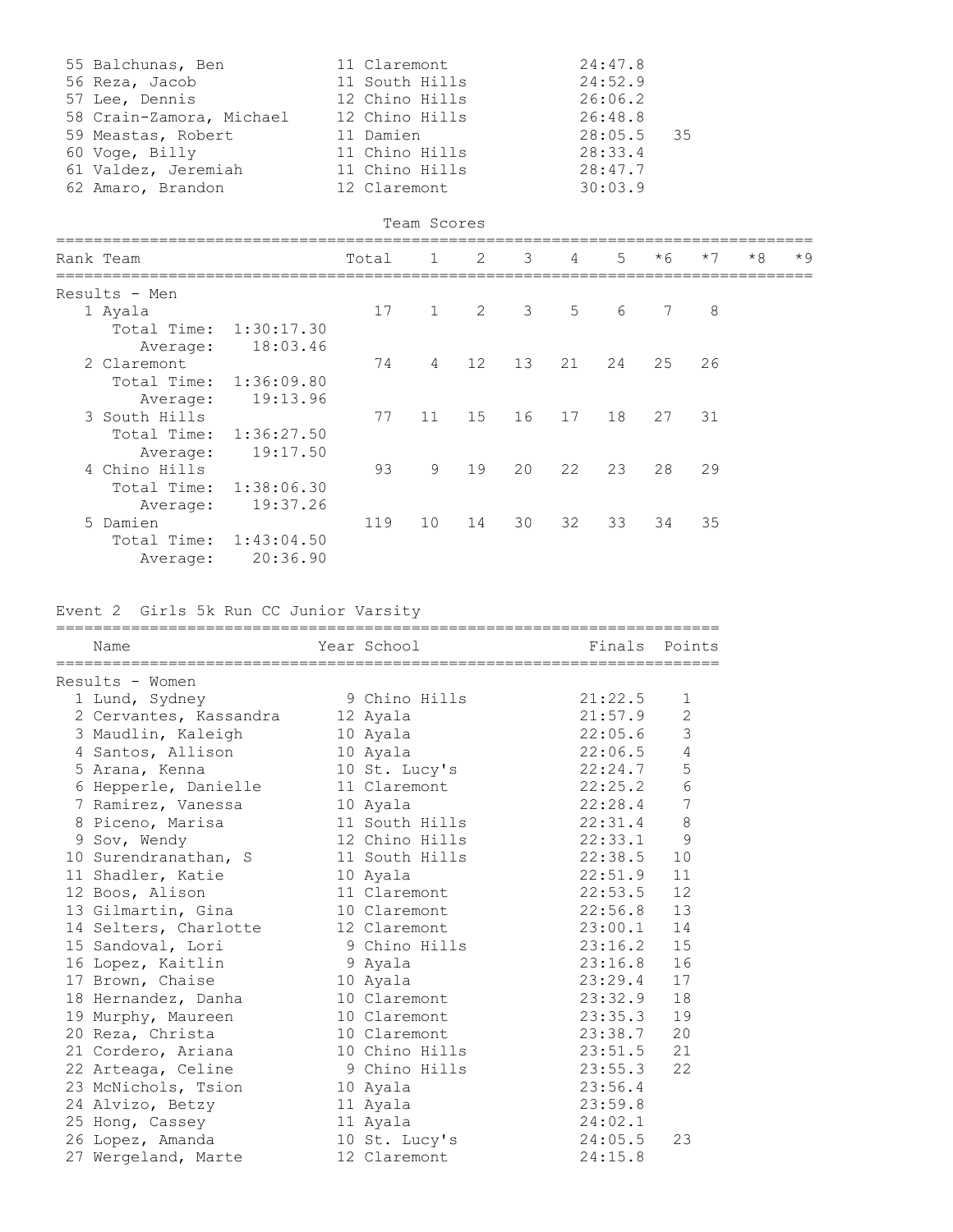| 55 Balchunas, Ben        | 11 Claremont   | 24:47.8      |
|--------------------------|----------------|--------------|
| 56 Reza, Jacob           | 11 South Hills | 24:52.9      |
| 57 Lee, Dennis           | 12 Chino Hills | 26:06.2      |
| 58 Crain-Zamora, Michael | 12 Chino Hills | 26:48.8      |
|                          |                |              |
| 59 Meastas, Robert       | 11 Damien      | $28:05.5$ 35 |
| 60 Voge, Billy           | 11 Chino Hills | 28:33.4      |
| 61 Valdez, Jeremiah      | 11 Chino Hills | 28:47.7      |

```
                                   Team Scores
```

| Rank Team |               |            | Total | $\mathbf{1}$ | 2              | 3 <sup>7</sup>          | 4  | $5^{\circ}$ | $*6$ | $*7$ | $*8$ | $*9$ |
|-----------|---------------|------------|-------|--------------|----------------|-------------------------|----|-------------|------|------|------|------|
|           | Results - Men |            |       |              |                |                         |    |             |      |      |      |      |
|           | 1 Ayala       |            | 17    | 1            | $\overline{c}$ | $\overline{\mathbf{3}}$ | 5  | 6           | 7    | 8    |      |      |
|           | Total Time:   | 1:30:17.30 |       |              |                |                         |    |             |      |      |      |      |
|           | Average:      | 18:03.46   |       |              |                |                         |    |             |      |      |      |      |
|           | 2 Claremont   |            | 74    | 4            | 12             | 13                      | 21 | 24          | 25   | 26   |      |      |
|           | Total Time:   | 1:36:09.80 |       |              |                |                         |    |             |      |      |      |      |
|           | Average:      | 19:13.96   |       |              |                |                         |    |             |      |      |      |      |
|           | 3 South Hills |            | 77    | 11           | 15             | 16                      | 17 | 18          | 27   | 31   |      |      |
|           | Total Time:   | 1:36:27.50 |       |              |                |                         |    |             |      |      |      |      |
|           | Average:      | 19:17.50   |       |              |                |                         |    |             |      |      |      |      |
|           | 4 Chino Hills |            | 93    | 9            | 19             | 20                      | 22 | 23          | 28   | 29   |      |      |
|           | Total Time:   | 1:38:06.30 |       |              |                |                         |    |             |      |      |      |      |
|           | Average:      | 19:37.26   |       |              |                |                         |    |             |      |      |      |      |
|           | 5 Damien      |            | 119   | 10           | 14             | 30                      | 32 | 33          | 34   | 35   |      |      |
|           | Total Time:   | 1:43:04.50 |       |              |                |                         |    |             |      |      |      |      |
|           | Average:      | 20:36.90   |       |              |                |                         |    |             |      |      |      |      |

# Event 2 Girls 5k Run CC Junior Varsity

| Name                                          | Year School                | Finals Points |                |
|-----------------------------------------------|----------------------------|---------------|----------------|
| Results - Women                               |                            |               |                |
| 1 Lund, Sydney 1 9 Chino Hills                |                            | 21:22.5       | 1              |
| 2 Cervantes, Kassandra 12 Ayala               |                            | 21:57.9       | $\overline{2}$ |
| 3 Maudlin, Kaleigh                            | 10 Ayala                   | 22:05.6       | $\mathfrak{Z}$ |
| 4 Santos, Allison                             | 10 Ayala                   | 22:06.5       | $\sqrt{4}$     |
|                                               |                            |               | 5              |
| 6 Hepperle, Danielle                          | 11 Claremont 22:25.2       |               | $\sqrt{6}$     |
| 7 Ramirez, Vanessa 10 Ayala                   |                            | 22:28.4       | 7              |
| 8 Piceno, Marisa and 11 South Hills 22:31.4   |                            |               | $\,8\,$        |
| 9 Sov, Wendy                                  | 12 Chino Hills 22:33.1     |               | $\overline{9}$ |
| 10 Surendranathan, S 11 South Hills 22:38.5   |                            |               | 10             |
| 11 Shadler, Katie                             | 10 Ayala                   | 22:51.9       | 11             |
| 12 Boos, Alison 11 Claremont 22:53.5          |                            |               | 12             |
| 13 Gilmartin, Gina 10 Claremont 22:56.8 13    |                            |               |                |
| 14 Selters, Charlotte 12 Claremont 23:00.1 14 |                            |               |                |
| 15 Sandoval, Lori 8 9 Chino Hills 23:16.2     |                            |               | 15             |
| 16 Lopez, Kaitlin 9 Ayala                     |                            | 23:16.8       | 16             |
| 17 Brown, Chaise 10 Ayala                     |                            | 23:29.4       | 17             |
| 18 Hernandez, Danha                           | 10 Claremont 23:32.9 18    |               |                |
| 19 Murphy, Maureen                            | 23:35.3 19<br>10 Claremont |               |                |
| 20 Reza, Christa                              | 10 Claremont 23:38.7       |               | 20             |
| 21 Cordero, Ariana 10 Chino Hills             |                            | 23:51.5       | 21             |
| 22 Arteaga, Celine 9 Chino Hills 23:55.3      |                            |               | 22             |
| 23 McNichols, Tsion 10 Ayala                  |                            | 23:56.4       |                |
| 24 Alvizo, Betzy 11 Ayala                     |                            | 23:59.8       |                |
| 25 Hong, Cassey 11 Ayala                      |                            | 24:02.1       |                |
| 26 Lopez, Amanda 10 St. Lucy's 24:05.5        |                            |               | 23             |
| 27 Wergeland, Marte 12 Claremont              |                            | 24:15.8       |                |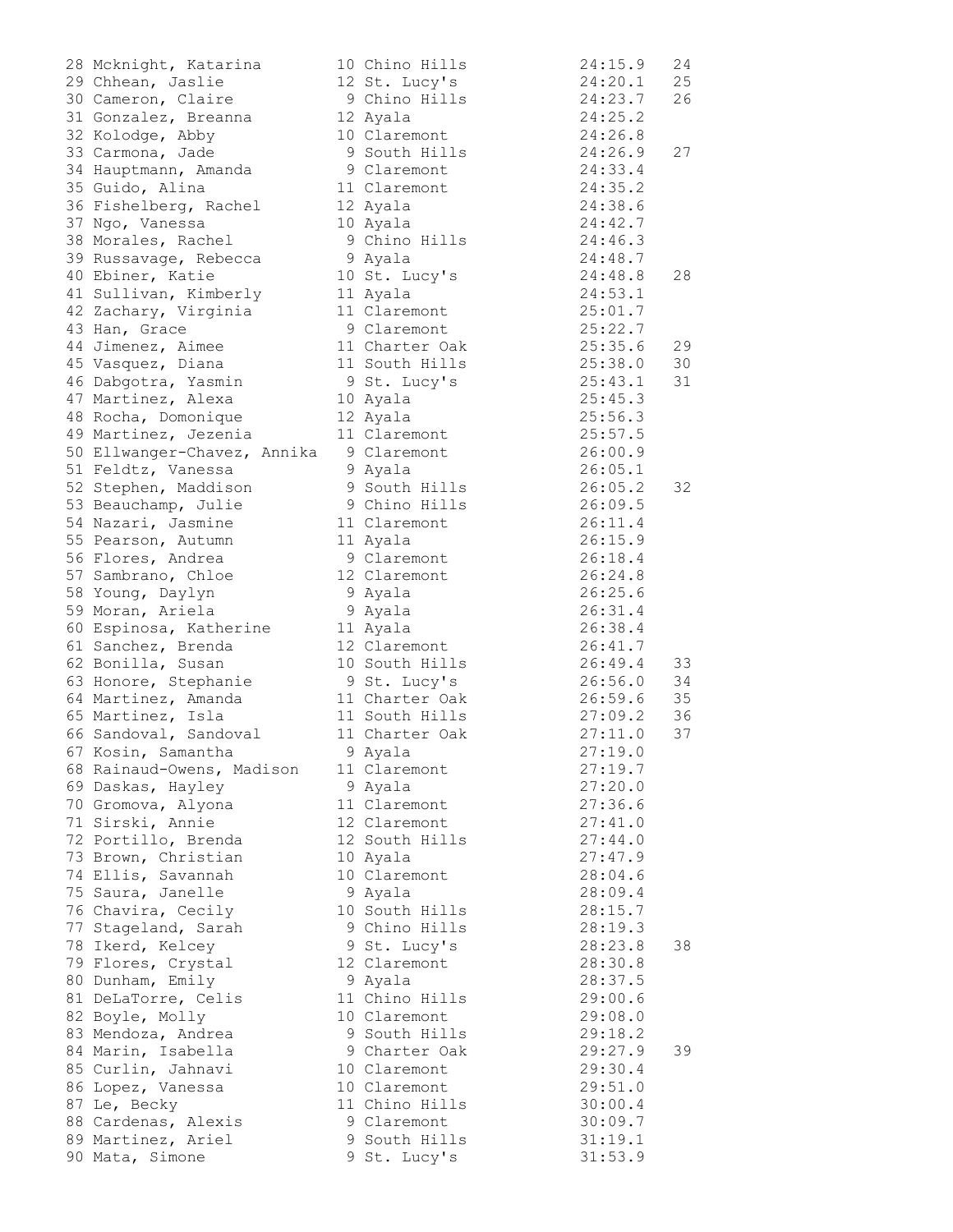| 28 Mcknight, Katarina                     | 10 Chino Hills        | 24:15.9                       | 24 |
|-------------------------------------------|-----------------------|-------------------------------|----|
| 29 Chhean, Jaslie                         | 12 St. Lucy's         | 24:20.1                       | 25 |
| 30 Cameron, Claire                        | 9 Chino Hills 24:23.7 |                               | 26 |
| 31 Gonzalez, Breanna 12 Ayala             |                       | 24:25.2                       |    |
| 32 Kolodge, Abby                          | 10 Claremont          | 24:26.8                       |    |
| 33 Carmona, Jade                          | 9 South Hills         | 24:26.9                       | 27 |
| 34 Hauptmann, Amanda                      | 9 Claremont           | 24:33.4                       |    |
| 35 Guido, Alina                           | 11 Claremont          | 24:35.2<br>24:38.6            |    |
| 36 Fishelberg, Rachel                     | 12 Ayala              |                               |    |
| 37 Ngo, Vanessa                           | 10 Ayala              | 24:42.7                       |    |
| 38 Morales, Rachel                        | 9 Chino Hills 24:46.3 |                               |    |
| 39 Russavage, Rebecca                     | 9 Ayala               | 24:48.7                       |    |
| 40 Ebiner, Katie                          | 10 St. Lucy's 24:48.8 |                               | 28 |
| 41 Sullivan, Kimberly                     | 11 Ayala              | 24:53.1                       |    |
| 42 Zachary, Virginia                      | 11 Claremont          | 25:01.7<br>25:22.7<br>25:35.6 |    |
| 43 Han, Grace                             | 9 Claremont           |                               |    |
| 44 Jimenez, Aimee                         | 11 Charter Oak        |                               | 29 |
| 45 Vasquez, Diana                         | 11 South Hills        | 25:38.0                       | 30 |
| 46 Dabgotra, Yasmin                       | 9 St. Lucy's          | 25:43.1                       | 31 |
| 47 Martinez, Alexa                        | 10 Ayala              | 25:45.3                       |    |
| 48 Rocha, Domonique                       | 12 Ayala              | 25:56.3                       |    |
| 49 Martinez, Jezenia                      | 11 Claremont          | 25:57.5                       |    |
| 50 Ellwanger-Chavez, Annika 9 Claremont   |                       | 26:00.9                       |    |
| 51 Feldtz, Vanessa                        | 9 Ayala               | 26:05.1                       |    |
| 52 Stephen, Maddison                      | 9 South Hills         |                               | 32 |
|                                           | 9 Chino Hills         |                               |    |
| 53 Beauchamp, Julie<br>54 Nazari, Jasmine | 11 Claremont          | 26:05.2<br>26:09.5<br>26:11.4 |    |
|                                           |                       | 26:15.9                       |    |
| 55 Pearson, Autumn                        | 11 Ayala              |                               |    |
| 56 Flores, Andrea                         | 9 Claremont           | 26:18.4                       |    |
| 57 Sambrano, Chloe                        | 12 Claremont          | 26:24.8                       |    |
| 58 Young, Daylyn                          | 9 Ayala               | 26:25.6                       |    |
| 59 Moran, Ariela                          | 9 Ayala               | 26:31.4                       |    |
| 60 Espinosa, Katherine                    | 11 Ayala              | 26:38.4                       |    |
| 61 Sanchez, Brenda                        | 12 Claremont          | 26:41.7                       |    |
| 62 Bonilla, Susan                         | 10 South Hills        | 26:49.4                       | 33 |
| 63 Honore, Stephanie                      | 9 St. Lucy's          | 26:56.0                       | 34 |
| 64 Martinez, Amanda 11 Charter Oak        |                       | 26:59.6 35                    |    |
| 65 Martinez, Isla                         | 11 South Hills        | 27:09.2                       | 36 |
| 66 Sandoval, Sandoval                     | 11 Charter Oak        | 27:11.0                       | 37 |
| 67 Kosin, Samantha                        | 9 Ayala               | 27:19.0                       |    |
| 68 Rainaud-Owens, Madison                 | 11 Claremont          | 27:19.7                       |    |
| 69 Daskas, Hayley                         | 9 Ayala               | 27:20.0                       |    |
| 70 Gromova, Alyona                        | 11 Claremont          | 27:36.6                       |    |
| 71 Sirski, Annie                          | 12 Claremont          | 27:41.0                       |    |
| 72 Portillo, Brenda                       | 12 South Hills        | 27:44.0                       |    |
| 73 Brown, Christian                       | 10 Ayala              | 27:47.9                       |    |
| 74 Ellis, Savannah                        | 10 Claremont          | 28:04.6                       |    |
| 75 Saura, Janelle                         | 9 Ayala               | 28:09.4                       |    |
| 76 Chavira, Cecily                        | 10 South Hills        | 28:15.7                       |    |
| 77 Stageland, Sarah                       | 9 Chino Hills         | 28:19.3                       |    |
| 78 Ikerd, Kelcey                          | 9 St. Lucy's          | 28:23.8                       | 38 |
| 79 Flores, Crystal                        | 12 Claremont          | 28:30.8                       |    |
| 80 Dunham, Emily                          | 9 Ayala               | 28:37.5                       |    |
| 81 DeLaTorre, Celis                       | 11 Chino Hills        | 29:00.6                       |    |
|                                           |                       |                               |    |
| 82 Boyle, Molly                           | 10 Claremont          | 29:08.0                       |    |
| 83 Mendoza, Andrea                        | 9 South Hills         | 29:18.2                       |    |
| 84 Marin, Isabella                        | 9 Charter Oak         | 29:27.9                       | 39 |
| 85 Curlin, Jahnavi                        | 10 Claremont          | 29:30.4                       |    |
| 86 Lopez, Vanessa                         | 10 Claremont          | 29:51.0                       |    |
| 87 Le, Becky                              | 11 Chino Hills        | 30:00.4                       |    |
| 88 Cardenas, Alexis                       | 9 Claremont           | 30:09.7                       |    |
| 89 Martinez, Ariel                        | 9 South Hills         | 31:19.1                       |    |
| 90 Mata, Simone                           | 9 St. Lucy's          | 31:53.9                       |    |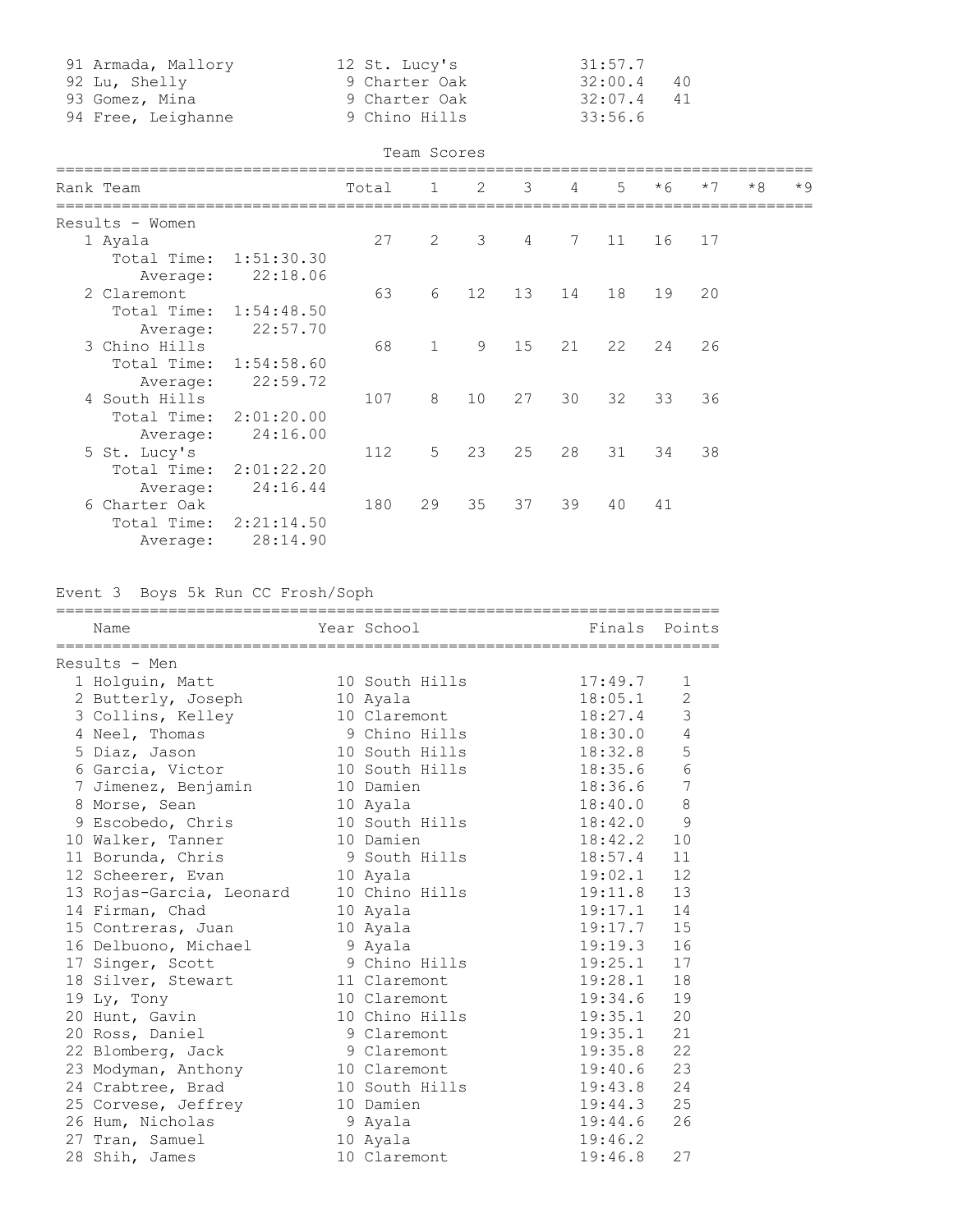| 91 Armada, Mallory | 12 St. Lucy's | 31:57.7      |  |
|--------------------|---------------|--------------|--|
| 92 Lu, Shelly      | 9 Charter Oak | 32:00.4 40   |  |
| 93 Gomez, Mina     | 9 Charter Oak | $32:07.4$ 41 |  |
| 94 Free, Leighanne | 9 Chino Hills | 33:56.6      |  |

| eam Scores |  |
|------------|--|
|            |  |

|  |                 |            |       | Team Scores  |    |    |                |                |      |      |      |      |
|--|-----------------|------------|-------|--------------|----|----|----------------|----------------|------|------|------|------|
|  | Rank Team       |            | Total | 1            | 2  | 3  | $\overline{4}$ | $\overline{5}$ | $*6$ | $*7$ | $*8$ | $*9$ |
|  | Results - Women |            |       |              |    |    |                |                |      |      |      |      |
|  | 1 Ayala         |            | 27    | $\mathbf{2}$ | 3  | 4  | 7              | 11             | 16   | 17   |      |      |
|  | Total Time:     | 1:51:30.30 |       |              |    |    |                |                |      |      |      |      |
|  | Average:        | 22:18.06   |       |              |    |    |                |                |      |      |      |      |
|  | 2 Claremont     |            | 63    | 6            | 12 | 13 | 14             | 18             | 19   | 20   |      |      |
|  | Total Time:     | 1:54:48.50 |       |              |    |    |                |                |      |      |      |      |
|  | Average:        | 22:57.70   |       |              |    |    |                |                |      |      |      |      |
|  | 3 Chino Hills   |            | 68    | $\mathbf{1}$ | 9  | 15 | 21             | 22             | 24   | 26   |      |      |
|  | Total Time:     | 1:54:58.60 |       |              |    |    |                |                |      |      |      |      |
|  | Average:        | 22:59.72   |       |              |    |    |                |                |      |      |      |      |
|  | 4 South Hills   |            | 107   | 8            | 10 | 27 | 30             | 32             | 33   | 36   |      |      |
|  | Total Time:     | 2:01:20.00 |       |              |    |    |                |                |      |      |      |      |
|  | Average:        | 24:16.00   |       |              |    |    |                |                |      |      |      |      |
|  | 5 St. Lucy's    |            | 112   | 5            | 23 | 25 | 28             | 31             | 34   | 38   |      |      |
|  | Total Time:     | 2:01:22.20 |       |              |    |    |                |                |      |      |      |      |
|  | Average:        | 24:16.44   |       |              |    |    |                |                |      |      |      |      |
|  | 6 Charter Oak   |            | 180   | 29           | 35 | 37 | 39             | 40             | 41   |      |      |      |
|  | Total Time:     | 2:21:14.50 |       |              |    |    |                |                |      |      |      |      |
|  | Average:        | 28:14.90   |       |              |    |    |                |                |      |      |      |      |

# Event 3 Boys 5k Run CC Frosh/Soph

| Results - Men<br>1 Holguin, Matt 10 South Hills 17:49.7<br>1<br>2 Butterly, Joseph 10 Ayala<br>2<br>18:05.1<br>3<br>18:27.4<br>3 Collins, Kelley 10 Claremont<br>$\overline{4}$<br>4 Neel, Thomas 9 Chino Hills 18:30.0<br>5 Diaz, Jason 10 South Hills 18:32.8<br>5<br>6 Garcia, Victor 10 South Hills 18:35.6<br>7 Jimenez, Benjamin 10 Damien 18:36.6<br>$\epsilon$<br>$\overline{7}$<br>8<br>8 Morse, Sean 10 Ayala<br>18:40.0<br>$\overline{9}$<br>10<br>11 Borunda, Chris             9 South Hills             18:57.4<br>11<br>$19:02.1$ 12<br>12 Scheerer, Evan 10 Ayala<br>13 Rojas-Garcia, Leonard 10 Chino Hills 19:11.8<br>13<br>14 Firman, Chad<br>19:17.1<br>14<br>10 Ayala<br>19:17.7<br>15 Contreras, Juan 10 Ayala<br>16 Delbuono, Michael 9 Ayala<br>15<br>19:19.3<br>16<br>17 Singer, Scott 9 Chino Hills 19:25.1 17<br>18 Silver, Stewart 11 Claremont 19:28.1 18<br>10 Claremont 19:34.6 19<br>19 Ly, Tony<br>20<br>20 Hunt, Gavin                           10 Chino Hills                     19:35.1<br>20 Ross, Daniel 9 Claremont 19:35.1<br>21<br>22 Blomberg, Jack 9 Claremont 19:35.8<br>22<br>23 Modyman, Anthony 10 Claremont 19:40.6<br>23<br>24 Crabtree, Brad 10 South Hills 19:43.8<br>24<br>19:44.3<br>25 Corvese, Jeffrey 10 Damien<br>25<br>26 Hum, Nicholas 8 9 Ayala<br>19:44.6<br>26<br>27 Tran, Samuel 10 Ayala 19:46.2<br>28 Shih, James 10 Claremont 19:46.8<br>27 | Name | Year School Near Finals Points |  |
|-----------------------------------------------------------------------------------------------------------------------------------------------------------------------------------------------------------------------------------------------------------------------------------------------------------------------------------------------------------------------------------------------------------------------------------------------------------------------------------------------------------------------------------------------------------------------------------------------------------------------------------------------------------------------------------------------------------------------------------------------------------------------------------------------------------------------------------------------------------------------------------------------------------------------------------------------------------------------------------------------------------------------------------------------------------------------------------------------------------------------------------------------------------------------------------------------------------------------------------------------------------------------------------------------------------------------------------------------------------------------------------------------------------------|------|--------------------------------|--|
|                                                                                                                                                                                                                                                                                                                                                                                                                                                                                                                                                                                                                                                                                                                                                                                                                                                                                                                                                                                                                                                                                                                                                                                                                                                                                                                                                                                                                 |      |                                |  |
|                                                                                                                                                                                                                                                                                                                                                                                                                                                                                                                                                                                                                                                                                                                                                                                                                                                                                                                                                                                                                                                                                                                                                                                                                                                                                                                                                                                                                 |      |                                |  |
|                                                                                                                                                                                                                                                                                                                                                                                                                                                                                                                                                                                                                                                                                                                                                                                                                                                                                                                                                                                                                                                                                                                                                                                                                                                                                                                                                                                                                 |      |                                |  |
|                                                                                                                                                                                                                                                                                                                                                                                                                                                                                                                                                                                                                                                                                                                                                                                                                                                                                                                                                                                                                                                                                                                                                                                                                                                                                                                                                                                                                 |      |                                |  |
|                                                                                                                                                                                                                                                                                                                                                                                                                                                                                                                                                                                                                                                                                                                                                                                                                                                                                                                                                                                                                                                                                                                                                                                                                                                                                                                                                                                                                 |      |                                |  |
|                                                                                                                                                                                                                                                                                                                                                                                                                                                                                                                                                                                                                                                                                                                                                                                                                                                                                                                                                                                                                                                                                                                                                                                                                                                                                                                                                                                                                 |      |                                |  |
|                                                                                                                                                                                                                                                                                                                                                                                                                                                                                                                                                                                                                                                                                                                                                                                                                                                                                                                                                                                                                                                                                                                                                                                                                                                                                                                                                                                                                 |      |                                |  |
|                                                                                                                                                                                                                                                                                                                                                                                                                                                                                                                                                                                                                                                                                                                                                                                                                                                                                                                                                                                                                                                                                                                                                                                                                                                                                                                                                                                                                 |      |                                |  |
|                                                                                                                                                                                                                                                                                                                                                                                                                                                                                                                                                                                                                                                                                                                                                                                                                                                                                                                                                                                                                                                                                                                                                                                                                                                                                                                                                                                                                 |      |                                |  |
|                                                                                                                                                                                                                                                                                                                                                                                                                                                                                                                                                                                                                                                                                                                                                                                                                                                                                                                                                                                                                                                                                                                                                                                                                                                                                                                                                                                                                 |      |                                |  |
|                                                                                                                                                                                                                                                                                                                                                                                                                                                                                                                                                                                                                                                                                                                                                                                                                                                                                                                                                                                                                                                                                                                                                                                                                                                                                                                                                                                                                 |      |                                |  |
|                                                                                                                                                                                                                                                                                                                                                                                                                                                                                                                                                                                                                                                                                                                                                                                                                                                                                                                                                                                                                                                                                                                                                                                                                                                                                                                                                                                                                 |      |                                |  |
|                                                                                                                                                                                                                                                                                                                                                                                                                                                                                                                                                                                                                                                                                                                                                                                                                                                                                                                                                                                                                                                                                                                                                                                                                                                                                                                                                                                                                 |      |                                |  |
|                                                                                                                                                                                                                                                                                                                                                                                                                                                                                                                                                                                                                                                                                                                                                                                                                                                                                                                                                                                                                                                                                                                                                                                                                                                                                                                                                                                                                 |      |                                |  |
|                                                                                                                                                                                                                                                                                                                                                                                                                                                                                                                                                                                                                                                                                                                                                                                                                                                                                                                                                                                                                                                                                                                                                                                                                                                                                                                                                                                                                 |      |                                |  |
|                                                                                                                                                                                                                                                                                                                                                                                                                                                                                                                                                                                                                                                                                                                                                                                                                                                                                                                                                                                                                                                                                                                                                                                                                                                                                                                                                                                                                 |      |                                |  |
|                                                                                                                                                                                                                                                                                                                                                                                                                                                                                                                                                                                                                                                                                                                                                                                                                                                                                                                                                                                                                                                                                                                                                                                                                                                                                                                                                                                                                 |      |                                |  |
|                                                                                                                                                                                                                                                                                                                                                                                                                                                                                                                                                                                                                                                                                                                                                                                                                                                                                                                                                                                                                                                                                                                                                                                                                                                                                                                                                                                                                 |      |                                |  |
|                                                                                                                                                                                                                                                                                                                                                                                                                                                                                                                                                                                                                                                                                                                                                                                                                                                                                                                                                                                                                                                                                                                                                                                                                                                                                                                                                                                                                 |      |                                |  |
|                                                                                                                                                                                                                                                                                                                                                                                                                                                                                                                                                                                                                                                                                                                                                                                                                                                                                                                                                                                                                                                                                                                                                                                                                                                                                                                                                                                                                 |      |                                |  |
|                                                                                                                                                                                                                                                                                                                                                                                                                                                                                                                                                                                                                                                                                                                                                                                                                                                                                                                                                                                                                                                                                                                                                                                                                                                                                                                                                                                                                 |      |                                |  |
|                                                                                                                                                                                                                                                                                                                                                                                                                                                                                                                                                                                                                                                                                                                                                                                                                                                                                                                                                                                                                                                                                                                                                                                                                                                                                                                                                                                                                 |      |                                |  |
|                                                                                                                                                                                                                                                                                                                                                                                                                                                                                                                                                                                                                                                                                                                                                                                                                                                                                                                                                                                                                                                                                                                                                                                                                                                                                                                                                                                                                 |      |                                |  |
|                                                                                                                                                                                                                                                                                                                                                                                                                                                                                                                                                                                                                                                                                                                                                                                                                                                                                                                                                                                                                                                                                                                                                                                                                                                                                                                                                                                                                 |      |                                |  |
|                                                                                                                                                                                                                                                                                                                                                                                                                                                                                                                                                                                                                                                                                                                                                                                                                                                                                                                                                                                                                                                                                                                                                                                                                                                                                                                                                                                                                 |      |                                |  |
|                                                                                                                                                                                                                                                                                                                                                                                                                                                                                                                                                                                                                                                                                                                                                                                                                                                                                                                                                                                                                                                                                                                                                                                                                                                                                                                                                                                                                 |      |                                |  |
|                                                                                                                                                                                                                                                                                                                                                                                                                                                                                                                                                                                                                                                                                                                                                                                                                                                                                                                                                                                                                                                                                                                                                                                                                                                                                                                                                                                                                 |      |                                |  |
|                                                                                                                                                                                                                                                                                                                                                                                                                                                                                                                                                                                                                                                                                                                                                                                                                                                                                                                                                                                                                                                                                                                                                                                                                                                                                                                                                                                                                 |      |                                |  |
|                                                                                                                                                                                                                                                                                                                                                                                                                                                                                                                                                                                                                                                                                                                                                                                                                                                                                                                                                                                                                                                                                                                                                                                                                                                                                                                                                                                                                 |      |                                |  |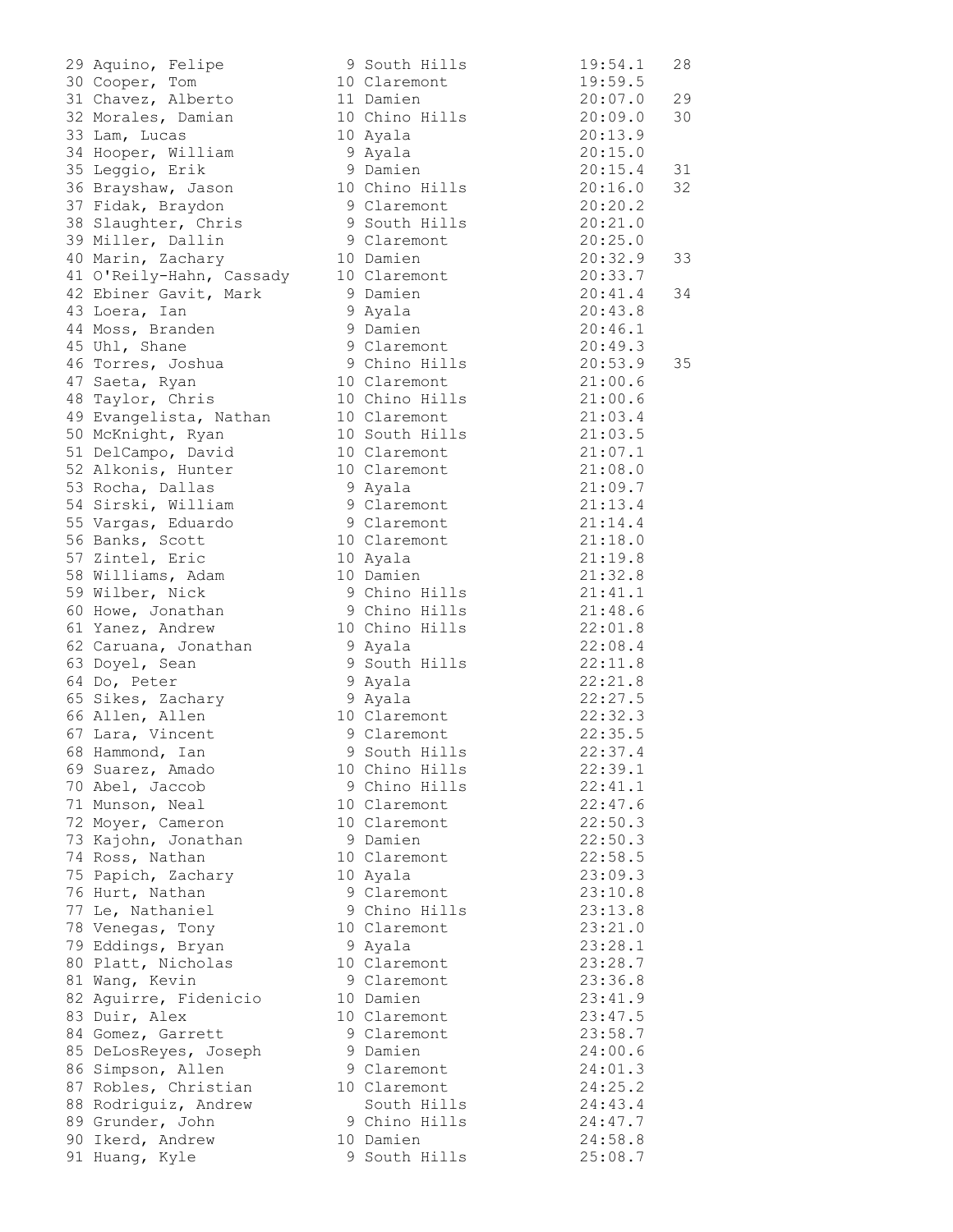| 29       | Aquino, Felipe<br>Cooper, Tom<br>Chavez, Alberto     |
|----------|------------------------------------------------------|
| 30       |                                                      |
| 31       |                                                      |
| 32       | Morales, Damian                                      |
| 33       | Lam, Lucas                                           |
| 34       | Hooper, William                                      |
| 35       | Leggio, Erik                                         |
| 36       | Brayshaw, Jason                                      |
| 37       | Fidak, Braydon                                       |
| 38       | Slaughter, Chris                                     |
| 39       | Miller, Dallin                                       |
| 40       | Marin, Zachary                                       |
| 41       | O'Reily-Hahn, Cassac                                 |
| 42       | Ebiner Gavit, Mark                                   |
| 43       | Loera, Ian                                           |
| 44       | Moss, Branden                                        |
| 45       | Uhl, Shane                                           |
| 46       | Torres, Joshua                                       |
| 47       |                                                      |
| 48       | Saeta, Ryan<br>Taylor, Chris                         |
| 49       | Evangelista, Nathan                                  |
| 50       | McKnight, Ryan                                       |
| 51       | DelCampo, David                                      |
| 52       | Alkonis, Hunter                                      |
| 53       |                                                      |
|          | Rocha, Dallas                                        |
| 54<br>55 | Sirski, William                                      |
| 56       | Vargas, Eduardo                                      |
| 57       | Banks, Scott<br>Zintel, Eric                         |
| 58       |                                                      |
| 59       | Williams, Adam                                       |
|          | Wilber, Nick                                         |
| 60       | Howe, Jonathan                                       |
|          | 61 Yanez, Andrew                                     |
|          | 62 Caruana, Jonathan                                 |
|          | 63 Doyel, Sean                                       |
|          | 64 Do, Peter<br>65 Sikes, Zachary<br>66 Allen, Allen |
|          |                                                      |
|          | 67 Lara, Vincent                                     |
|          |                                                      |
| 68       | Hammond, Ian                                         |
|          | 69 Suarez, Amado                                     |
| 70       | Abel, Jaccob                                         |
| 71       | Munson, Neal                                         |
| 72       | Moyer, Cameron                                       |
| 73       | Kajohn, Jonathan                                     |
| 74       | Ross, Nathan                                         |
| 75       | Papich, Zachary                                      |
| 76       | Hurt, Nathan                                         |
| 77       | Le, Nathaniel                                        |
| 78       | Venegas, Tony                                        |
| 79       | Eddings, Bryan                                       |
| 80       | Platt, Nicholas                                      |
| 81       | Wang, Kevin                                          |
| 82       | Aguirre, Fidenicio                                   |
| 83       | Duir, Alex                                           |
| 84       | Gomez, Garrett                                       |
| 85       | DeLosReyes, Joseph                                   |
|          | 86 Simpson, Allen                                    |
| 87       | Robles, Christian                                    |
| 88       | Rodriguiz, Andrew                                    |
|          | 89 Grunder, John                                     |
|          | 90 Ikerd, Andrew                                     |
| 91       | Huang, Kyle                                          |

|                                                                                                                                                                                                                                                      |                        |         | 28 |
|------------------------------------------------------------------------------------------------------------------------------------------------------------------------------------------------------------------------------------------------------|------------------------|---------|----|
|                                                                                                                                                                                                                                                      |                        |         |    |
|                                                                                                                                                                                                                                                      |                        |         | 29 |
| 32 Morales, Damian 10 Chino Hills 20:09.0                                                                                                                                                                                                            |                        |         | 30 |
| 33 Lam, Lucas<br>33 Lam, Lucas<br>34 Hooper, William<br>35 Leggio, Erik<br>36 Brayshaw, Jason<br>37 Fidak, Braydon<br>36 Staughter, Chris<br>36 Staughter, Chris<br>36 Staughter, Chris<br>36 Staughter, Chris<br>36 Staughter, Chris<br>36 Staughte |                        |         |    |
|                                                                                                                                                                                                                                                      |                        |         |    |
|                                                                                                                                                                                                                                                      |                        |         | 31 |
|                                                                                                                                                                                                                                                      |                        |         | 32 |
|                                                                                                                                                                                                                                                      |                        |         |    |
|                                                                                                                                                                                                                                                      |                        |         |    |
|                                                                                                                                                                                                                                                      |                        |         |    |
|                                                                                                                                                                                                                                                      |                        |         | 33 |
| 41 O'Reily-Hahn, Cassady 10 Claremont 20:33.7                                                                                                                                                                                                        |                        |         |    |
| 42 Ebiner Gavit, Mark 9 Damien                                                                                                                                                                                                                       | 20:41.4                |         | 34 |
| 42 EDIRE GAVIC, Halk because of the Moss, Branden<br>43 Loera, Ian 9 Ayala 20:43.8<br>44 Moss, Branden 9 Damien 20:46.1<br>45 Uhl, Shane 9 Claremont 20:49.3<br>46 Torres, Joshua 9 Chino Hills 20:53.9<br>47 Saeta, Ryan 10 Claremont 2             |                        |         |    |
|                                                                                                                                                                                                                                                      |                        |         |    |
|                                                                                                                                                                                                                                                      |                        |         |    |
|                                                                                                                                                                                                                                                      |                        |         | 35 |
|                                                                                                                                                                                                                                                      |                        |         |    |
|                                                                                                                                                                                                                                                      |                        |         |    |
|                                                                                                                                                                                                                                                      |                        |         |    |
| 19 Evangelista, Nathan 10 Claremont 21:03.4<br>50 McKnight, Ryan 10 South Hills 21:03.5                                                                                                                                                              |                        |         |    |
| 51 DelCampo, David 10 Claremont 21:07.1                                                                                                                                                                                                              |                        |         |    |
| 52 Alkonis, Hunter 10 Claremont 21:08.0                                                                                                                                                                                                              |                        |         |    |
|                                                                                                                                                                                                                                                      |                        |         |    |
|                                                                                                                                                                                                                                                      |                        |         |    |
|                                                                                                                                                                                                                                                      |                        |         |    |
|                                                                                                                                                                                                                                                      |                        |         |    |
|                                                                                                                                                                                                                                                      |                        |         |    |
| 32 Alas (antonis) Multiple 10 Claremont<br>53 Rocha, Dallas (antonis) 9 Ayala (antonis) 21:09.7<br>54 Sirski, William 9 Claremont 21:13.4<br>55 Vargas, Eduardo 9 Claremont 21:13.4<br>56 Banks, Scott 10 Claremont 21:14.4<br>57 Zintel             |                        |         |    |
|                                                                                                                                                                                                                                                      |                        |         |    |
| 60 Howe, Jonathan 9 Chino Hills 21:48.6                                                                                                                                                                                                              |                        |         |    |
| 61 Yanez, Andrew                                                                                                                                                                                                                                     | 10 Chino Hills 22:01.8 |         |    |
|                                                                                                                                                                                                                                                      |                        |         |    |
|                                                                                                                                                                                                                                                      |                        |         |    |
|                                                                                                                                                                                                                                                      |                        |         |    |
|                                                                                                                                                                                                                                                      |                        |         |    |
| 62 Caruana, Jonathan 9 Ayala (3 Doyel, Sean 9 South Hills (22:08.4)<br>63 Doyel, Sean 9 South Hills (22:11.8)<br>64 Do, Peter 9 Ayala (22:21.8)<br>65 Sikes, Zachary 9 Ayala (22:27.5)<br>66 Allen, Allen 10 Claremont (22:32.3)                     |                        |         |    |
| --------, -------<br>67 Lara, Vincent 9 Claremont 22:35.5<br>68 Hammond, Ian 9 South Hills 22:37.4                                                                                                                                                   |                        |         |    |
|                                                                                                                                                                                                                                                      |                        |         |    |
| 69 Suarez, Amado                                                                                                                                                                                                                                     | 10 Chino Hills         | 22:39.1 |    |
| 70 Abel, Jaccob                                                                                                                                                                                                                                      | 9 Chino Hills          | 22:41.1 |    |
| 71 Munson, Neal                                                                                                                                                                                                                                      | 10 Claremont           | 22:47.6 |    |
| 72 Moyer, Cameron                                                                                                                                                                                                                                    | 10 Claremont           | 22:50.3 |    |
| 73 Kajohn, Jonathan                                                                                                                                                                                                                                  | 9 Damien               | 22:50.3 |    |
| 74 Ross, Nathan                                                                                                                                                                                                                                      | 10 Claremont           | 22:58.5 |    |
| 75 Papich, Zachary                                                                                                                                                                                                                                   | 10 Ayala               | 23:09.3 |    |
| 76 Hurt, Nathan                                                                                                                                                                                                                                      | 9 Claremont            | 23:10.8 |    |
| 77 Le, Nathaniel                                                                                                                                                                                                                                     | 9 Chino Hills          | 23:13.8 |    |
| 78 Venegas, Tony                                                                                                                                                                                                                                     | 10 Claremont           | 23:21.0 |    |
| 79 Eddings, Bryan                                                                                                                                                                                                                                    | 9 Ayala                | 23:28.1 |    |
| 80 Platt, Nicholas                                                                                                                                                                                                                                   | 10 Claremont           | 23:28.7 |    |
| 81 Wang, Kevin                                                                                                                                                                                                                                       | 9 Claremont            | 23:36.8 |    |
| 82 Aguirre, Fidenicio                                                                                                                                                                                                                                | 10 Damien              | 23:41.9 |    |
| 83 Duir, Alex                                                                                                                                                                                                                                        | 10 Claremont           | 23:47.5 |    |
| 84 Gomez, Garrett                                                                                                                                                                                                                                    | 9 Claremont            | 23:58.7 |    |
| 85 DeLosReyes, Joseph                                                                                                                                                                                                                                | 9 Damien               | 24:00.6 |    |
| 86 Simpson, Allen                                                                                                                                                                                                                                    | 9 Claremont            | 24:01.3 |    |
| 87 Robles, Christian                                                                                                                                                                                                                                 | 10 Claremont           | 24:25.2 |    |
| 88 Rodriguiz, Andrew                                                                                                                                                                                                                                 | South Hills            | 24:43.4 |    |
| 89 Grunder, John                                                                                                                                                                                                                                     | 9 Chino Hills          | 24:47.7 |    |
| 90 Ikerd, Andrew                                                                                                                                                                                                                                     | 10 Damien              | 24:58.8 |    |
| 91 Huang, Kyle                                                                                                                                                                                                                                       | 9 South Hills          | 25:08.7 |    |
|                                                                                                                                                                                                                                                      |                        |         |    |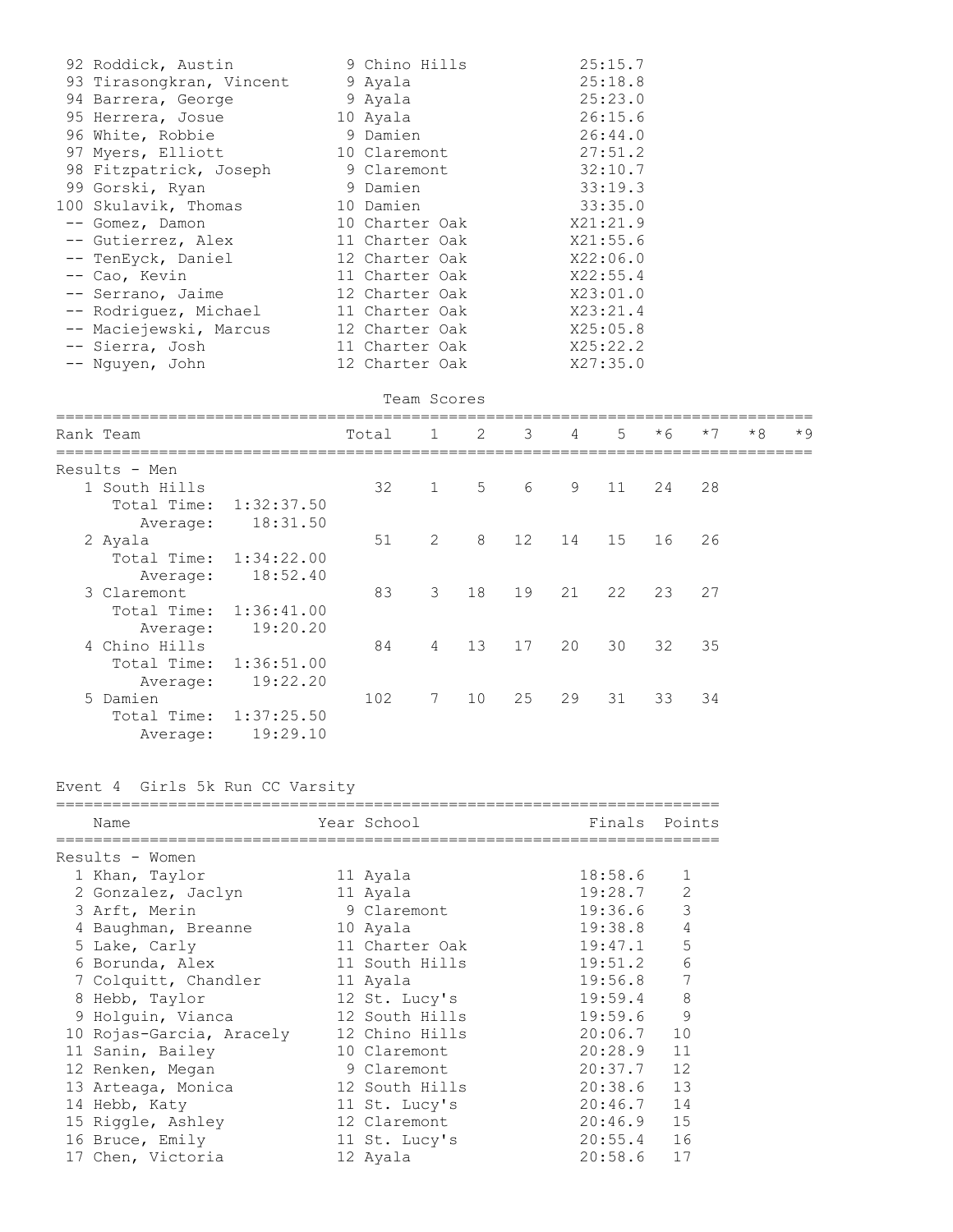| 92 Roddick, Austin                    | 9 Chino Hills  | 25:15.7  |  |
|---------------------------------------|----------------|----------|--|
| 93 Tirasongkran, Vincent              | 9 Ayala        | 25:18.8  |  |
| 94 Barrera, George                    | 9 Ayala        | 25:23.0  |  |
| 95 Herrera, Josue                     | 10 Ayala       | 26:15.6  |  |
| 96 White, Robbie                      | 9 Damien       | 26:44.0  |  |
| 97 Myers, Elliott 10 Claremont        |                | 27:51.2  |  |
| 98 Fitzpatrick, Joseph                | 9 Claremont    | 32:10.7  |  |
| 99 Gorski, Ryan                       | 9 Damien       | 33:19.3  |  |
| 100 Skulavik, Thomas                  | 10 Damien      | 33:35.0  |  |
| -- Gomez, Damon                       | 10 Charter Oak | X21:21.9 |  |
| -- Gutierrez, Alex                    | 11 Charter Oak | X21:55.6 |  |
| -- TenEyck, Daniel                    | 12 Charter Oak | X22:06.0 |  |
| -- Cao, Kevin                         | 11 Charter Oak | X22:55.4 |  |
| -- Serrano, Jaime                     | 12 Charter Oak | X23:01.0 |  |
| -- Rodriquez, Michael                 | 11 Charter Oak | X23:21.4 |  |
| -- Maciejewski, Marcus 12 Charter Oak |                | X25:05.8 |  |
| -- Sierra, Josh                       | 11 Charter Oak | X25:22.2 |  |
| -- Nguyen, John                       | 12 Charter Oak | X27:35.0 |  |

```
                                   Team Scores
```

| Rank Team     |                        | Total | 1              | 2  | $\overline{\mathbf{3}}$ | 4  | 5 <sup>1</sup> | $*6$ | $*7$ | $*8$ | $*9$ |
|---------------|------------------------|-------|----------------|----|-------------------------|----|----------------|------|------|------|------|
| Results - Men |                        |       |                |    |                         |    |                |      |      |      |      |
| 1 South Hills |                        | 32    | $\mathbf{1}$   | 5  | 6                       | 9  | 11             | 24   | 28   |      |      |
| Total Time:   | 1:32:37.50             |       |                |    |                         |    |                |      |      |      |      |
| Average:      | 18:31.50               |       |                |    |                         |    |                |      |      |      |      |
| 2 Ayala       |                        | 51    | 2              | 8  | 12                      | 14 | 15             | 16   | 26   |      |      |
|               | Total Time: 1:34:22.00 |       |                |    |                         |    |                |      |      |      |      |
| Average:      | 18:52.40               |       |                |    |                         |    |                |      |      |      |      |
| 3 Claremont   |                        | 83    | 3              | 18 | 19                      | 21 | 22             | 23   | 27   |      |      |
| Total Time:   | 1:36:41.00             |       |                |    |                         |    |                |      |      |      |      |
| Average:      | 19:20.20               |       |                |    |                         |    |                |      |      |      |      |
| 4 Chino Hills |                        | 84    | $\overline{4}$ | 13 | 17                      | 20 | 30             | 32   | 35   |      |      |
| Total Time:   | 1:36:51.00             |       |                |    |                         |    |                |      |      |      |      |
| Average:      | 19:22.20               |       |                |    |                         |    |                |      |      |      |      |
| 5 Damien      |                        | 102   | 7              | 10 | 25                      | 29 | 31             | 33   | 34   |      |      |
| Total Time:   | 1:37:25.50             |       |                |    |                         |    |                |      |      |      |      |
| Average:      | 19:29.10               |       |                |    |                         |    |                |      |      |      |      |
|               |                        |       |                |    |                         |    |                |      |      |      |      |

# Event 4 Girls 5k Run CC Varsity

| Name                         | Year School and the School and the School | Finals Points |                |
|------------------------------|-------------------------------------------|---------------|----------------|
| Results - Women              |                                           |               |                |
| 1 Khan, Taylor               | 11 Ayala                                  | 18:58.6       | 1              |
| 2 Gonzalez, Jaclyn 11 Ayala  |                                           | 19:28.7       | $\overline{c}$ |
| 3 Arft, Merin                | 9 Claremont                               | 19:36.6       | $\mathfrak{Z}$ |
| 4 Baughman, Breanne 10 Ayala |                                           | 19:38.8       | $\sqrt{4}$     |
| 5 Lake, Carly                | 11 Charter Oak                            | 19:47.1       | 5              |
|                              |                                           | 19:51.2       | 6              |
| 7 Colquitt, Chandler         | 11 Ayala                                  | 19:56.8       | 7              |
| 8 Hebb, Taylor               | 12 St. Lucy's                             | 19:59.4       | 8              |
| 9 Holquin, Vianca            | 12 South Hills                            | 19:59.6       | 9              |
| 10 Rojas-Garcia, Aracely     | 12 Chino Hills                            | 20:06.7       | 10             |
| 11 Sanin, Bailey             | 10 Claremont                              | $20:28.9$ 11  |                |
| 12 Renken, Megan             | 9 Claremont and the Second State          | $20:37.7$ 12  |                |
| 13 Arteaga, Monica           | 12 South Hills                            | $20:38.6$ 13  |                |
| 14 Hebb, Katy                | 11 St. Lucy's                             | $20:46.7$ 14  |                |
| 15 Riggle, Ashley            | 12 Claremont                              | $20:46.9$ 15  |                |
| 16 Bruce, Emily              | 11 St. Lucy's                             | $20:55.4$ 16  |                |
| 17 Chen, Victoria            | 12 Ayala                                  | 20:58.6       | 17             |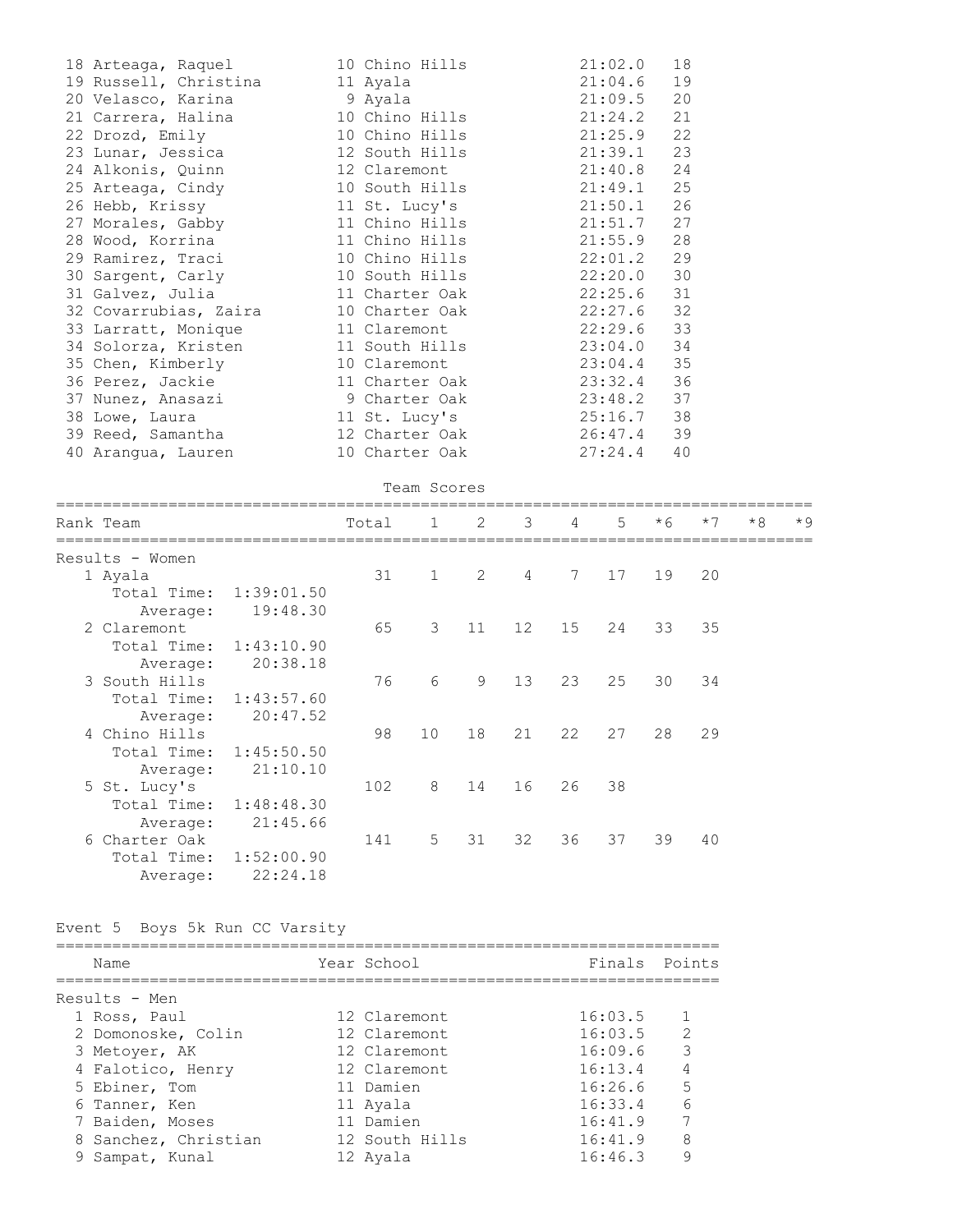| 18 Arteaga, Raquel 10 Chino Hills 21:02.0                                                               | 18 |
|---------------------------------------------------------------------------------------------------------|----|
| 19 Russell, Christina 11 Ayala 21:04.6                                                                  | 19 |
| 20 Velasco, Karina (a. 9 Ayala (a. 21:09.5 20)<br>21 Carrera, Halina (a. 10 Chino Hills (a. 21:24.2 21) |    |
|                                                                                                         |    |
| 22 Drozd, Emily 10 Chino Hills 21:25.9 22                                                               |    |
|                                                                                                         |    |
| 24 Alkonis, Quinn 12 Claremont 21:40.8 24                                                               |    |
| 25 Arteaga, Cindy 10 South Hills 21:49.1 25                                                             |    |
| 26 Hebb, Krissy 11 St. Lucy's 21:50.1 26                                                                |    |
| 27 Morales, Gabby 11 Chino Hills 21:51.7 27                                                             |    |
|                                                                                                         |    |
| 29 Ramirez, Traci 10 Chino Hills 22:01.2 29                                                             |    |
| 30 Sargent, Carly 10 South Hills 22:20.0 30                                                             |    |
| 31 Galvez, Julia and 11 Charter Oak 22:25.6 31                                                          |    |
| 32 Covarrubias, Zaira 10 Charter Oak 22:27.6 32                                                         |    |
| 33 Larratt, Monique 11 Claremont 22:29.6 33                                                             |    |
| 34 Solorza, Kristen 11 South Hills 23:04.0 34<br>35 Chen, Kimberly 10 Claremont 23:04.4 35              |    |
|                                                                                                         |    |
| 36 Perez, Jackie 11 Charter Oak 23:32.4 36<br>37 Nunez, Anasazi 9 Charter Oak 23:48.2 37                |    |
|                                                                                                         |    |
| 38 Lowe, Laura <b>11 St. Lucy's</b> 25:16.7 38                                                          |    |
| 39 Reed, Samantha 12 Charter Oak 26:47.4 39                                                             |    |
| 40 Arangua, Lauren 10 Charter Oak 27:24.4                                                               | 40 |

|                 |            |       | Team Scores    |    |                |                |    |      |      |      |      |
|-----------------|------------|-------|----------------|----|----------------|----------------|----|------|------|------|------|
| Rank Team       |            | Total | $\overline{1}$ | 2  | $\overline{3}$ | 4              | 5  | $*6$ | $*7$ | $*8$ | $*9$ |
| Results - Women |            |       |                |    |                |                |    |      |      |      |      |
| 1 Ayala         |            | 31    | $\mathbf{1}$   | 2  | $\overline{4}$ | $7\phantom{0}$ | 17 | 19   | 20   |      |      |
| Total Time:     | 1:39:01.50 |       |                |    |                |                |    |      |      |      |      |
| Average:        | 19:48.30   |       |                |    |                |                |    |      |      |      |      |
| 2 Claremont     |            | 65    | 3              | 11 | 12             | 15             | 24 | 33   | 35   |      |      |
| Total Time:     | 1:43:10.90 |       |                |    |                |                |    |      |      |      |      |
| Average:        | 20:38.18   |       |                |    |                |                |    |      |      |      |      |
| 3 South Hills   |            | 76    | 6              | 9  | 13             | 23             | 25 | 30   | 34   |      |      |
| Total Time:     | 1:43:57.60 |       |                |    |                |                |    |      |      |      |      |
| Average:        | 20:47.52   |       |                |    |                |                |    |      |      |      |      |
| 4 Chino Hills   |            | 98    | 10             | 18 | 21             | 22             | 27 | 28   | 29   |      |      |
| Total Time:     | 1:45:50.50 |       |                |    |                |                |    |      |      |      |      |
| Average:        | 21:10.10   |       |                |    |                |                |    |      |      |      |      |
| 5 St. Lucy's    |            | 102   | 8              | 14 | 16             | 26             | 38 |      |      |      |      |
| Total Time:     | 1:48:48.30 |       |                |    |                |                |    |      |      |      |      |
| Average:        | 21:45.66   |       |                |    |                |                |    |      |      |      |      |
| 6 Charter Oak   |            | 141   | 5              | 31 | 32             | 36             | 37 | 39   | 40   |      |      |
| Total Time:     | 1:52:00.90 |       |                |    |                |                |    |      |      |      |      |
| Average:        | 22:24.18   |       |                |    |                |                |    |      |      |      |      |

Event 5 Boys 5k Run CC Varsity

| Name                 | Year School    | Finals Points |    |
|----------------------|----------------|---------------|----|
| Results - Men        |                |               |    |
| 1 Ross, Paul         | 12 Claremont   | 16:03.5       |    |
| 2 Domonoske, Colin   | 12 Claremont   | 16:03.5       | 2  |
| 3 Metoyer, AK        | 12 Claremont   | 16:09.6       | 3  |
| 4 Falotico, Henry    | 12 Claremont   | 16:13.4       | 4  |
| 5 Ebiner, Tom        | 11 Damien      | 16:26.6       | .5 |
| 6 Tanner, Ken        | 11 Avala       | 16:33.4       | 6  |
| 7 Baiden, Moses      | 11 Damien      | 16:41.9       |    |
| 8 Sanchez, Christian | 12 South Hills | 16:41.9       | 8  |
| 9 Sampat, Kunal      | 12 Ayala       | 16:46.3       | 9  |